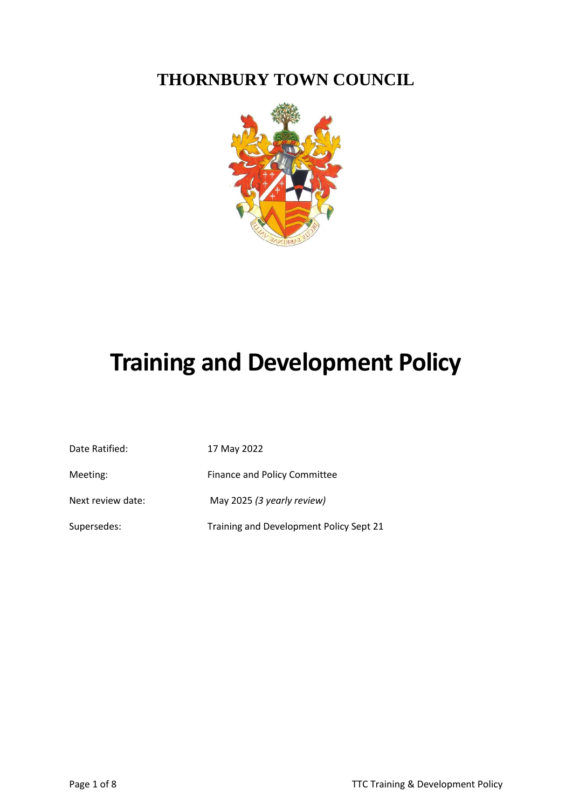**THORNBURY TOWN COUNCIL**



# **Training and Development Policy**

| Date Ratified:    | 17 May 2022                             |
|-------------------|-----------------------------------------|
| Meeting:          | <b>Finance and Policy Committee</b>     |
| Next review date: | May 2025 (3 yearly review)              |
| Supersedes:       | Training and Development Policy Sept 21 |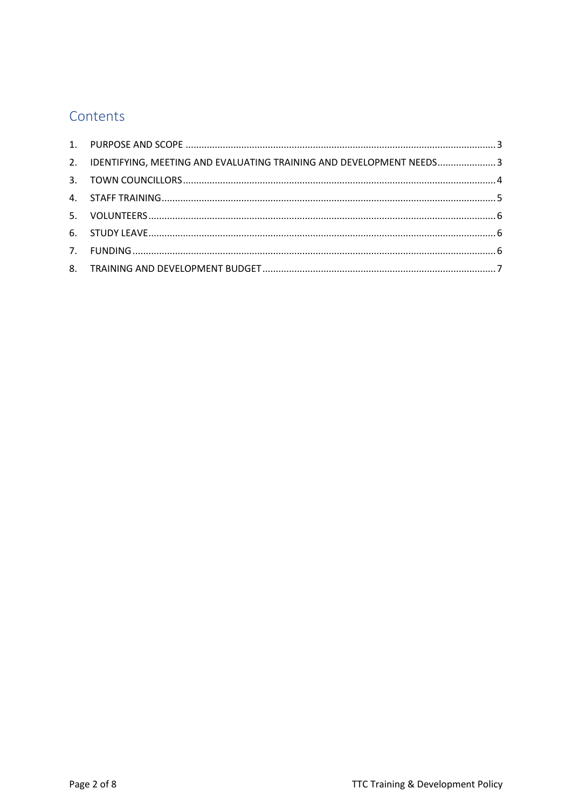# Contents

| 2. IDENTIFYING, MEETING AND EVALUATING TRAINING AND DEVELOPMENT NEEDS3 |  |
|------------------------------------------------------------------------|--|
|                                                                        |  |
|                                                                        |  |
|                                                                        |  |
|                                                                        |  |
|                                                                        |  |
|                                                                        |  |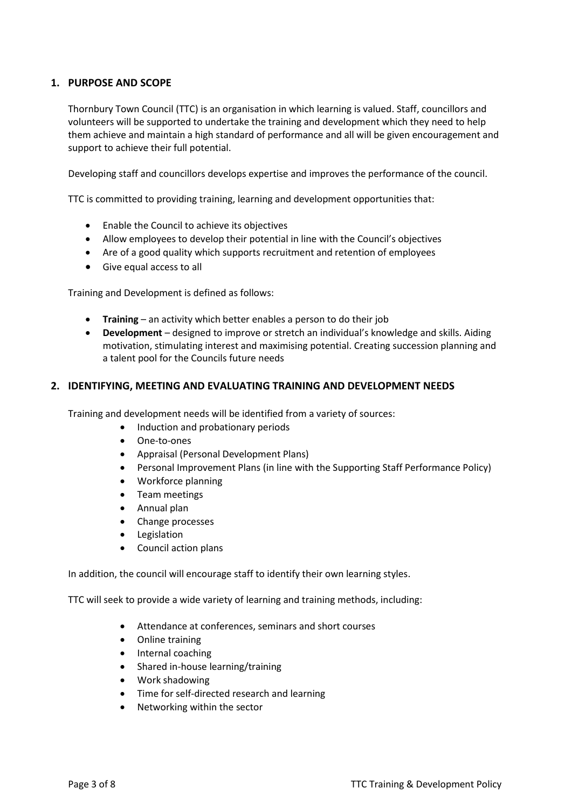# <span id="page-2-0"></span>**1. PURPOSE AND SCOPE**

Thornbury Town Council (TTC) is an organisation in which learning is valued. Staff, councillors and volunteers will be supported to undertake the training and development which they need to help them achieve and maintain a high standard of performance and all will be given encouragement and support to achieve their full potential.

Developing staff and councillors develops expertise and improves the performance of the council.

TTC is committed to providing training, learning and development opportunities that:

- Enable the Council to achieve its objectives
- Allow employees to develop their potential in line with the Council's objectives
- Are of a good quality which supports recruitment and retention of employees
- Give equal access to all

Training and Development is defined as follows:

- **Training**  an activity which better enables a person to do their job
- **Development** designed to improve or stretch an individual's knowledge and skills. Aiding motivation, stimulating interest and maximising potential. Creating succession planning and a talent pool for the Councils future needs

#### <span id="page-2-1"></span>**2. IDENTIFYING, MEETING AND EVALUATING TRAINING AND DEVELOPMENT NEEDS**

Training and development needs will be identified from a variety of sources:

- Induction and probationary periods
- One-to-ones
- Appraisal (Personal Development Plans)
- Personal Improvement Plans (in line with the Supporting Staff Performance Policy)
- Workforce planning
- Team meetings
- Annual plan
- Change processes
- Legislation
- Council action plans

In addition, the council will encourage staff to identify their own learning styles.

TTC will seek to provide a wide variety of learning and training methods, including:

- Attendance at conferences, seminars and short courses
- Online training
- Internal coaching
- Shared in-house learning/training
- Work shadowing
- Time for self-directed research and learning
- Networking within the sector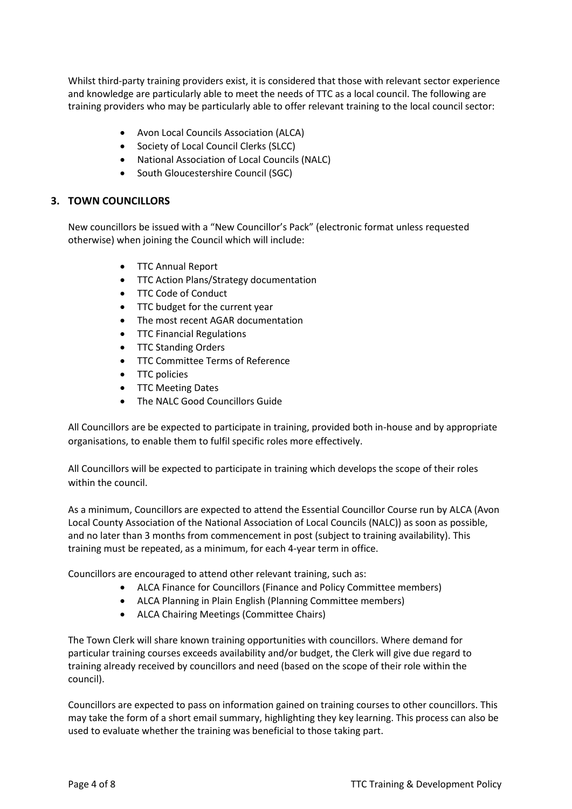Whilst third-party training providers exist, it is considered that those with relevant sector experience and knowledge are particularly able to meet the needs of TTC as a local council. The following are training providers who may be particularly able to offer relevant training to the local council sector:

- Avon Local Councils Association (ALCA)
- Society of Local Council Clerks (SLCC)
- National Association of Local Councils (NALC)
- South Gloucestershire Council (SGC)

# <span id="page-3-0"></span>**3. TOWN COUNCILLORS**

New councillors be issued with a "New Councillor's Pack" (electronic format unless requested otherwise) when joining the Council which will include:

- TTC Annual Report
- TTC Action Plans/Strategy documentation
- TTC Code of Conduct
- TTC budget for the current year
- The most recent AGAR documentation
- TTC Financial Regulations
- TTC Standing Orders
- TTC Committee Terms of Reference
- TTC policies
- TTC Meeting Dates
- The NALC Good Councillors Guide

All Councillors are be expected to participate in training, provided both in-house and by appropriate organisations, to enable them to fulfil specific roles more effectively.

All Councillors will be expected to participate in training which develops the scope of their roles within the council.

As a minimum, Councillors are expected to attend the Essential Councillor Course run by ALCA (Avon Local County Association of the National Association of Local Councils (NALC)) as soon as possible, and no later than 3 months from commencement in post (subject to training availability). This training must be repeated, as a minimum, for each 4-year term in office.

Councillors are encouraged to attend other relevant training, such as:

- ALCA Finance for Councillors (Finance and Policy Committee members)
- ALCA Planning in Plain English (Planning Committee members)
- ALCA Chairing Meetings (Committee Chairs)

The Town Clerk will share known training opportunities with councillors. Where demand for particular training courses exceeds availability and/or budget, the Clerk will give due regard to training already received by councillors and need (based on the scope of their role within the council).

Councillors are expected to pass on information gained on training courses to other councillors. This may take the form of a short email summary, highlighting they key learning. This process can also be used to evaluate whether the training was beneficial to those taking part.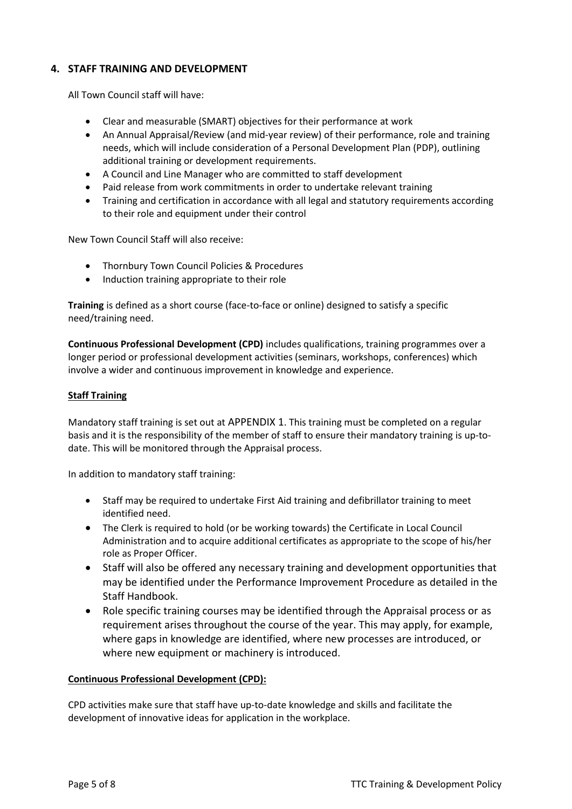# <span id="page-4-0"></span>**4. STAFF TRAINING AND DEVELOPMENT**

All Town Council staff will have:

- Clear and measurable (SMART) objectives for their performance at work
- An Annual Appraisal/Review (and mid-year review) of their performance, role and training needs, which will include consideration of a Personal Development Plan (PDP), outlining additional training or development requirements.
- A Council and Line Manager who are committed to staff development
- Paid release from work commitments in order to undertake relevant training
- Training and certification in accordance with all legal and statutory requirements according to their role and equipment under their control

New Town Council Staff will also receive:

- Thornbury Town Council Policies & Procedures
- Induction training appropriate to their role

**Training** is defined as a short course (face-to-face or online) designed to satisfy a specific need/training need.

**Continuous Professional Development (CPD)** includes qualifications, training programmes over a longer period or professional development activities (seminars, workshops, conferences) which involve a wider and continuous improvement in knowledge and experience.

#### **Staff Training**

Mandatory staff training is set out at [APPENDIX 1](#page-7-0). This training must be completed on a regular basis and it is the responsibility of the member of staff to ensure their mandatory training is up-todate. This will be monitored through the Appraisal process.

In addition to mandatory staff training:

- Staff may be required to undertake First Aid training and defibrillator training to meet identified need.
- The Clerk is required to hold (or be working towards) the Certificate in Local Council Administration and to acquire additional certificates as appropriate to the scope of his/her role as Proper Officer.
- Staff will also be offered any necessary training and development opportunities that may be identified under the Performance Improvement Procedure as detailed in the Staff Handbook.
- Role specific training courses may be identified through the Appraisal process or as requirement arises throughout the course of the year. This may apply, for example, where gaps in knowledge are identified, where new processes are introduced, or where new equipment or machinery is introduced.

#### **Continuous Professional Development (CPD):**

CPD activities make sure that staff have up-to-date knowledge and skills and facilitate the development of innovative ideas for application in the workplace.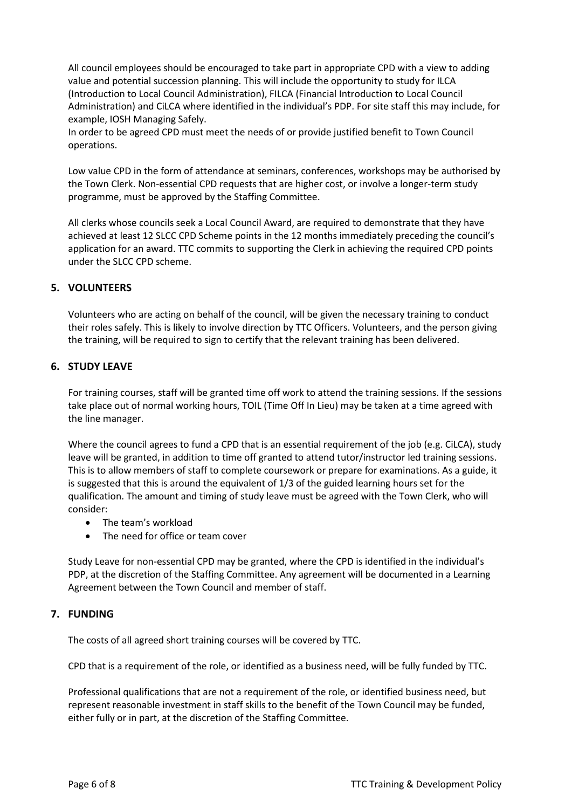All council employees should be encouraged to take part in appropriate CPD with a view to adding value and potential succession planning. This will include the opportunity to study for ILCA (Introduction to Local Council Administration), FILCA (Financial Introduction to Local Council Administration) and CiLCA where identified in the individual's PDP. For site staff this may include, for example, IOSH Managing Safely.

In order to be agreed CPD must meet the needs of or provide justified benefit to Town Council operations.

Low value CPD in the form of attendance at seminars, conferences, workshops may be authorised by the Town Clerk. Non-essential CPD requests that are higher cost, or involve a longer-term study programme, must be approved by the Staffing Committee.

All clerks whose councils seek a Local Council Award, are required to demonstrate that they have achieved at least 12 SLCC CPD Scheme points in the 12 months immediately preceding the council's application for an award. TTC commits to supporting the Clerk in achieving the required CPD points under the SLCC CPD scheme.

#### <span id="page-5-0"></span>**5. VOLUNTEERS**

Volunteers who are acting on behalf of the council, will be given the necessary training to conduct their roles safely. This is likely to involve direction by TTC Officers. Volunteers, and the person giving the training, will be required to sign to certify that the relevant training has been delivered.

#### <span id="page-5-1"></span>**6. STUDY LEAVE**

For training courses, staff will be granted time off work to attend the training sessions. If the sessions take place out of normal working hours, TOIL (Time Off In Lieu) may be taken at a time agreed with the line manager.

Where the council agrees to fund a CPD that is an essential requirement of the job (e.g. CiLCA), study leave will be granted, in addition to time off granted to attend tutor/instructor led training sessions. This is to allow members of staff to complete coursework or prepare for examinations. As a guide, it is suggested that this is around the equivalent of 1/3 of the guided learning hours set for the qualification. The amount and timing of study leave must be agreed with the Town Clerk, who will consider:

- The team's workload
- The need for office or team cover

Study Leave for non-essential CPD may be granted, where the CPD is identified in the individual's PDP, at the discretion of the Staffing Committee. Any agreement will be documented in a Learning Agreement between the Town Council and member of staff.

#### <span id="page-5-2"></span>**7. FUNDING**

The costs of all agreed short training courses will be covered by TTC.

CPD that is a requirement of the role, or identified as a business need, will be fully funded by TTC.

Professional qualifications that are not a requirement of the role, or identified business need, but represent reasonable investment in staff skills to the benefit of the Town Council may be funded, either fully or in part, at the discretion of the Staffing Committee.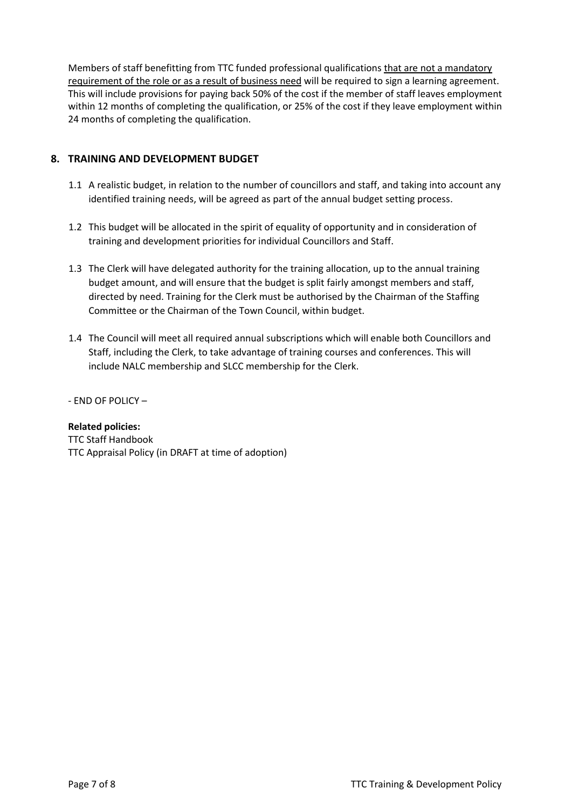Members of staff benefitting from TTC funded professional qualifications that are not a mandatory requirement of the role or as a result of business need will be required to sign a learning agreement. This will include provisions for paying back 50% of the cost if the member of staff leaves employment within 12 months of completing the qualification, or 25% of the cost if they leave employment within 24 months of completing the qualification.

# <span id="page-6-0"></span>**8. TRAINING AND DEVELOPMENT BUDGET**

- 1.1 A realistic budget, in relation to the number of councillors and staff, and taking into account any identified training needs, will be agreed as part of the annual budget setting process.
- 1.2 This budget will be allocated in the spirit of equality of opportunity and in consideration of training and development priorities for individual Councillors and Staff.
- 1.3 The Clerk will have delegated authority for the training allocation, up to the annual training budget amount, and will ensure that the budget is split fairly amongst members and staff, directed by need. Training for the Clerk must be authorised by the Chairman of the Staffing Committee or the Chairman of the Town Council, within budget.
- 1.4 The Council will meet all required annual subscriptions which will enable both Councillors and Staff, including the Clerk, to take advantage of training courses and conferences. This will include NALC membership and SLCC membership for the Clerk.

- END OF POLICY –

## **Related policies:**

TTC Staff Handbook TTC Appraisal Policy (in DRAFT at time of adoption)